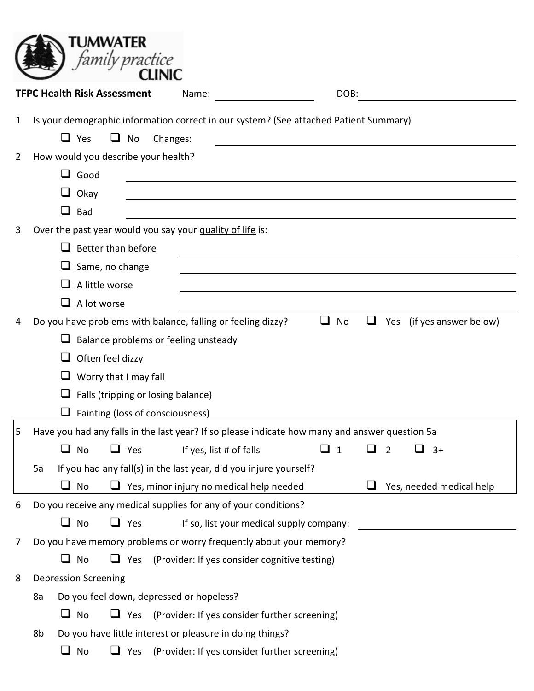|   |    |                                     | TUMWATER<br>family practice        |                                                                                                   |                                          |              |   |   |                           |
|---|----|-------------------------------------|------------------------------------|---------------------------------------------------------------------------------------------------|------------------------------------------|--------------|---|---|---------------------------|
|   |    | <b>TFPC Health Risk Assessment</b>  |                                    | Name:                                                                                             |                                          | DOB:         |   |   |                           |
| 1 |    | $\Box$ Yes                          | u.<br>No                           | Is your demographic information correct in our system? (See attached Patient Summary)<br>Changes: |                                          |              |   |   |                           |
| 2 |    | How would you describe your health? |                                    |                                                                                                   |                                          |              |   |   |                           |
|   |    | $\Box$ Good                         |                                    |                                                                                                   |                                          |              |   |   |                           |
|   |    | $\Box$ Okay                         |                                    |                                                                                                   |                                          |              |   |   |                           |
|   |    | $\Box$ Bad                          |                                    |                                                                                                   |                                          |              |   |   |                           |
| 3 |    |                                     |                                    | Over the past year would you say your quality of life is:                                         |                                          |              |   |   |                           |
|   |    | ப                                   | Better than before                 |                                                                                                   |                                          |              |   |   |                           |
|   |    | $\Box$ Same, no change              |                                    |                                                                                                   |                                          |              |   |   |                           |
|   |    | A little worse<br>ப                 |                                    |                                                                                                   |                                          |              |   |   |                           |
|   |    | A lot worse<br>ப                    |                                    |                                                                                                   |                                          |              |   |   |                           |
| 4 |    |                                     |                                    | Do you have problems with balance, falling or feeling dizzy?                                      |                                          | $\Box$<br>No | ⊔ |   | Yes (if yes answer below) |
|   |    |                                     |                                    | $\Box$ Balance problems or feeling unsteady                                                       |                                          |              |   |   |                           |
|   |    | ⊔                                   | Often feel dizzy                   |                                                                                                   |                                          |              |   |   |                           |
|   |    | ⊔                                   | Worry that I may fall              |                                                                                                   |                                          |              |   |   |                           |
|   |    | ⊔                                   | Falls (tripping or losing balance) |                                                                                                   |                                          |              |   |   |                           |
|   |    |                                     | Fainting (loss of consciousness)   |                                                                                                   |                                          |              |   |   |                           |
| 5 |    |                                     |                                    | Have you had any falls in the last year? If so please indicate how many and answer question 5a    |                                          |              |   |   |                           |
|   |    | $\Box$ No                           | $\Box$ Yes                         | If yes, list # of falls                                                                           |                                          | $\Box$ 1     |   | 2 | ப<br>$3+$                 |
|   | 5a |                                     |                                    | If you had any fall(s) in the last year, did you injure yourself?                                 |                                          |              |   |   |                           |
|   |    | $\Box$ No                           |                                    | Yes, minor injury no medical help needed                                                          |                                          |              | ப |   | Yes, needed medical help  |
| 6 |    |                                     |                                    | Do you receive any medical supplies for any of your conditions?                                   |                                          |              |   |   |                           |
|   |    | $\Box$ No                           | $\Box$ Yes                         |                                                                                                   | If so, list your medical supply company: |              |   |   |                           |
| 7 |    |                                     |                                    | Do you have memory problems or worry frequently about your memory?                                |                                          |              |   |   |                           |
|   |    | $\Box$ No                           | $\Box$ Yes                         | (Provider: If yes consider cognitive testing)                                                     |                                          |              |   |   |                           |
| 8 |    | <b>Depression Screening</b>         |                                    |                                                                                                   |                                          |              |   |   |                           |
|   | 8a |                                     |                                    | Do you feel down, depressed or hopeless?                                                          |                                          |              |   |   |                           |
|   |    | $\Box$ No                           |                                    | $\Box$ Yes (Provider: If yes consider further screening)                                          |                                          |              |   |   |                           |
|   | 8b |                                     |                                    | Do you have little interest or pleasure in doing things?                                          |                                          |              |   |   |                           |
|   |    | $\Box$ No                           | $\Box$ Yes                         | (Provider: If yes consider further screening)                                                     |                                          |              |   |   |                           |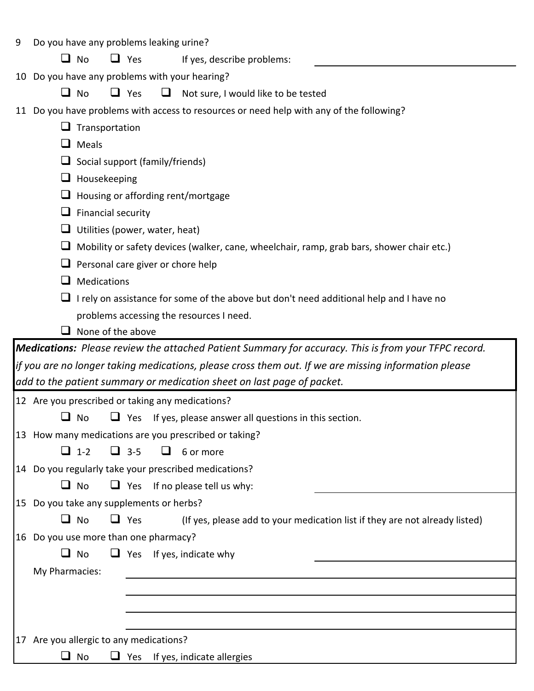| 9 | Do you have any problems leaking urine?                                                                |
|---|--------------------------------------------------------------------------------------------------------|
|   | No<br>$\Box$ Yes<br>ப<br>If yes, describe problems:                                                    |
|   | 10 Do you have any problems with your hearing?                                                         |
|   | $\Box$ Yes<br>∐ No<br>⊔<br>Not sure, I would like to be tested                                         |
|   | 11 Do you have problems with access to resources or need help with any of the following?               |
|   | Transportation                                                                                         |
|   | Meals<br>⊔                                                                                             |
|   | Social support (family/friends)                                                                        |
|   | Housekeeping<br>⊔                                                                                      |
|   | Housing or affording rent/mortgage<br>⊔                                                                |
|   | Financial security<br>⊔                                                                                |
|   | Utilities (power, water, heat)<br>⊔                                                                    |
|   | Mobility or safety devices (walker, cane, wheelchair, ramp, grab bars, shower chair etc.)<br>⊔         |
|   | Personal care giver or chore help<br>⊔                                                                 |
|   | Medications<br>⊔                                                                                       |
|   | I rely on assistance for some of the above but don't need additional help and I have no                |
|   | problems accessing the resources I need.                                                               |
|   | None of the above                                                                                      |
|   | Medications: Please review the attached Patient Summary for accuracy. This is from your TFPC record.   |
|   | if you are no longer taking medications, please cross them out. If we are missing information please   |
|   | add to the patient summary or medication sheet on last page of packet.                                 |
|   | 12 Are you prescribed or taking any medications?                                                       |
|   | No<br>$\Box$ Yes If yes, please answer all questions in this section.                                  |
|   | 13 How many medications are you prescribed or taking?                                                  |
|   | $\Box$ 3-5<br>$\Box$ 1-2<br>$\Box$<br>6 or more                                                        |
|   | 14 Do you regularly take your prescribed medications?                                                  |
|   | $\Box$ Yes If no please tell us why:<br>$\Box$ No                                                      |
|   | 15 Do you take any supplements or herbs?                                                               |
|   | $\Box$ Yes<br>$\Box$ No<br>(If yes, please add to your medication list if they are not already listed) |
|   | 16 Do you use more than one pharmacy?                                                                  |
|   | $\Box$ No<br>$\Box$ Yes If yes, indicate why                                                           |
|   | My Pharmacies:                                                                                         |
|   |                                                                                                        |
|   |                                                                                                        |
|   |                                                                                                        |
|   | 17 Are you allergic to any medications?<br>No<br>$\Box$ Yes<br>If yes, indicate allergies<br>ப         |
|   |                                                                                                        |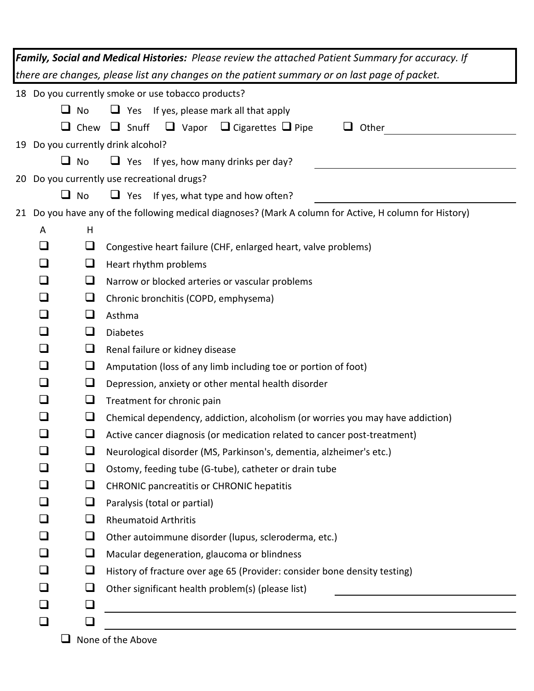| Family, Social and Medical Histories: Please review the attached Patient Summary for accuracy. If                  |  |  |  |  |  |  |
|--------------------------------------------------------------------------------------------------------------------|--|--|--|--|--|--|
| there are changes, please list any changes on the patient summary or on last page of packet.                       |  |  |  |  |  |  |
| 18 Do you currently smoke or use tobacco products?                                                                 |  |  |  |  |  |  |
| u<br>$\Box$ Yes If yes, please mark all that apply<br>No                                                           |  |  |  |  |  |  |
| Chew $\Box$ Snuff $\Box$ Vapor $\Box$ Cigarettes $\Box$ Pipe<br>u.<br>$\Box$ Other                                 |  |  |  |  |  |  |
| 19 Do you currently drink alcohol?                                                                                 |  |  |  |  |  |  |
| u.<br>No<br>$\Box$ Yes If yes, how many drinks per day?                                                            |  |  |  |  |  |  |
| 20 Do you currently use recreational drugs?                                                                        |  |  |  |  |  |  |
| u.<br>No<br>$\Box$ Yes If yes, what type and how often?                                                            |  |  |  |  |  |  |
| 21 Do you have any of the following medical diagnoses? (Mark A column for Active, H column for History)            |  |  |  |  |  |  |
| H<br>A                                                                                                             |  |  |  |  |  |  |
| ⊔<br>⊔<br>Congestive heart failure (CHF, enlarged heart, valve problems)                                           |  |  |  |  |  |  |
| ❏<br>$\Box$<br>Heart rhythm problems                                                                               |  |  |  |  |  |  |
| ❏<br>⊔<br>Narrow or blocked arteries or vascular problems                                                          |  |  |  |  |  |  |
| ❏<br>$\sqcup$<br>Chronic bronchitis (COPD, emphysema)                                                              |  |  |  |  |  |  |
| ❏<br>$\Box$<br>Asthma                                                                                              |  |  |  |  |  |  |
| ❏<br>⊔<br><b>Diabetes</b>                                                                                          |  |  |  |  |  |  |
| ❏<br>⊔<br>Renal failure or kidney disease                                                                          |  |  |  |  |  |  |
| ❏<br>$\sqcup$<br>Amputation (loss of any limb including toe or portion of foot)                                    |  |  |  |  |  |  |
| ❏<br>⊔<br>Depression, anxiety or other mental health disorder                                                      |  |  |  |  |  |  |
| ❏<br>$\sqcup$<br>Treatment for chronic pain                                                                        |  |  |  |  |  |  |
| ப<br>$\Box$<br>Chemical dependency, addiction, alcoholism (or worries you may have addiction)                      |  |  |  |  |  |  |
| コ<br>$\Box$<br>Active cancer diagnosis (or medication related to cancer post-treatment)                            |  |  |  |  |  |  |
| ❏<br>Neurological disorder (MS, Parkinson's, dementia, alzheimer's etc.)                                           |  |  |  |  |  |  |
| $\Box$<br>Ostomy, feeding tube (G-tube), catheter or drain tube                                                    |  |  |  |  |  |  |
| $\Box$<br><b>CHRONIC pancreatitis or CHRONIC hepatitis</b>                                                         |  |  |  |  |  |  |
| ⊔<br>Paralysis (total or partial)<br>$\Box$                                                                        |  |  |  |  |  |  |
| ❏<br><b>Rheumatoid Arthritis</b>                                                                                   |  |  |  |  |  |  |
| ⊔<br>Other autoimmune disorder (lupus, scleroderma, etc.)<br>$\Box$<br>Macular degeneration, glaucoma or blindness |  |  |  |  |  |  |
| ⊔<br>History of fracture over age 65 (Provider: consider bone density testing)                                     |  |  |  |  |  |  |
| ⊔<br>Other significant health problem(s) (please list)                                                             |  |  |  |  |  |  |
| ❏                                                                                                                  |  |  |  |  |  |  |
| ⊔                                                                                                                  |  |  |  |  |  |  |
| None of the Above                                                                                                  |  |  |  |  |  |  |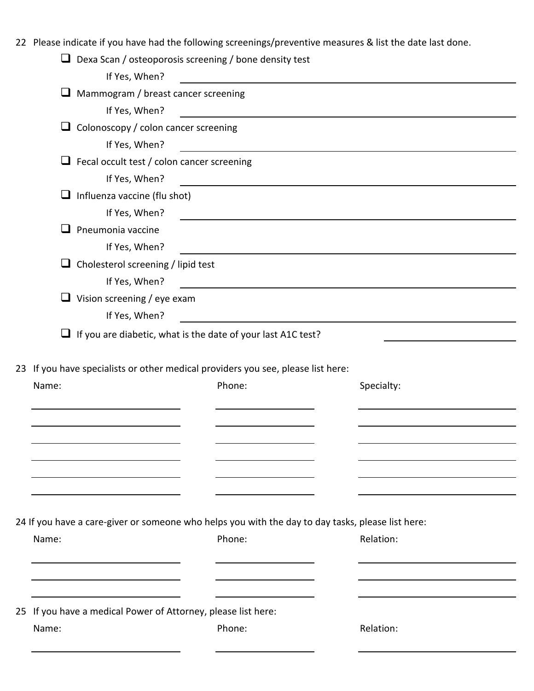22 Please indicate if you have had the following screenings/preventive measures & list the date last done.

| ⊔<br>Dexa Scan / osteoporosis screening / bone density test                                       |                                                                                                                       |                                                              |                                                                                                                      |  |
|---------------------------------------------------------------------------------------------------|-----------------------------------------------------------------------------------------------------------------------|--------------------------------------------------------------|----------------------------------------------------------------------------------------------------------------------|--|
| If Yes, When?                                                                                     |                                                                                                                       | <u> 1989 - Johann Stein, mars and de Brasilian (b. 1989)</u> |                                                                                                                      |  |
| Mammogram / breast cancer screening<br>⊔                                                          |                                                                                                                       |                                                              |                                                                                                                      |  |
| If Yes, When?                                                                                     |                                                                                                                       |                                                              | <u> Alexandria de la contrada de la contrada de la contrada de la contrada de la contrada de la contrada de la c</u> |  |
| Colonoscopy / colon cancer screening<br>u                                                         |                                                                                                                       |                                                              |                                                                                                                      |  |
| If Yes, When?                                                                                     |                                                                                                                       |                                                              |                                                                                                                      |  |
| $\Box$ Fecal occult test / colon cancer screening                                                 |                                                                                                                       |                                                              |                                                                                                                      |  |
| If Yes, When?                                                                                     | <u> - Andreas Andreas Andreas Andreas Andreas Andreas Andreas Andreas Andreas Andreas Andreas Andreas Andreas And</u> |                                                              |                                                                                                                      |  |
| Influenza vaccine (flu shot)<br>u                                                                 |                                                                                                                       |                                                              |                                                                                                                      |  |
| If Yes, When?                                                                                     |                                                                                                                       |                                                              |                                                                                                                      |  |
| Pneumonia vaccine                                                                                 |                                                                                                                       |                                                              |                                                                                                                      |  |
| If Yes, When?                                                                                     |                                                                                                                       |                                                              | <u> 1989 - Johann Barbara, martxa amerikan personal (h. 1989).</u>                                                   |  |
| $\Box$ Cholesterol screening / lipid test                                                         |                                                                                                                       |                                                              |                                                                                                                      |  |
| If Yes, When?                                                                                     | <u> 1989 - Johann Barn, mars et al. (b. 1989)</u>                                                                     |                                                              |                                                                                                                      |  |
| $\Box$ Vision screening / eye exam                                                                |                                                                                                                       |                                                              |                                                                                                                      |  |
| If Yes, When?                                                                                     |                                                                                                                       | <u> 1980 - Johann Barbara, martxa alemaniar a</u>            |                                                                                                                      |  |
| $\Box$ If you are diabetic, what is the date of your last A1C test?                               |                                                                                                                       |                                                              |                                                                                                                      |  |
|                                                                                                   |                                                                                                                       |                                                              |                                                                                                                      |  |
| 23 If you have specialists or other medical providers you see, please list here:                  |                                                                                                                       |                                                              |                                                                                                                      |  |
| Name:                                                                                             | Phone:                                                                                                                |                                                              | Specialty:                                                                                                           |  |
|                                                                                                   |                                                                                                                       |                                                              |                                                                                                                      |  |
|                                                                                                   |                                                                                                                       |                                                              |                                                                                                                      |  |
|                                                                                                   |                                                                                                                       |                                                              |                                                                                                                      |  |
|                                                                                                   |                                                                                                                       |                                                              |                                                                                                                      |  |
|                                                                                                   |                                                                                                                       |                                                              |                                                                                                                      |  |
|                                                                                                   |                                                                                                                       |                                                              |                                                                                                                      |  |
|                                                                                                   |                                                                                                                       |                                                              |                                                                                                                      |  |
| 24 If you have a care-giver or someone who helps you with the day to day tasks, please list here: |                                                                                                                       |                                                              |                                                                                                                      |  |
| Name:                                                                                             | Phone:                                                                                                                |                                                              | Relation:                                                                                                            |  |
|                                                                                                   |                                                                                                                       |                                                              |                                                                                                                      |  |
|                                                                                                   |                                                                                                                       |                                                              |                                                                                                                      |  |
|                                                                                                   |                                                                                                                       |                                                              |                                                                                                                      |  |
|                                                                                                   |                                                                                                                       |                                                              |                                                                                                                      |  |
| 25 If you have a medical Power of Attorney, please list here:                                     |                                                                                                                       |                                                              |                                                                                                                      |  |
| Name:                                                                                             | Phone:                                                                                                                |                                                              | Relation:                                                                                                            |  |
|                                                                                                   |                                                                                                                       |                                                              |                                                                                                                      |  |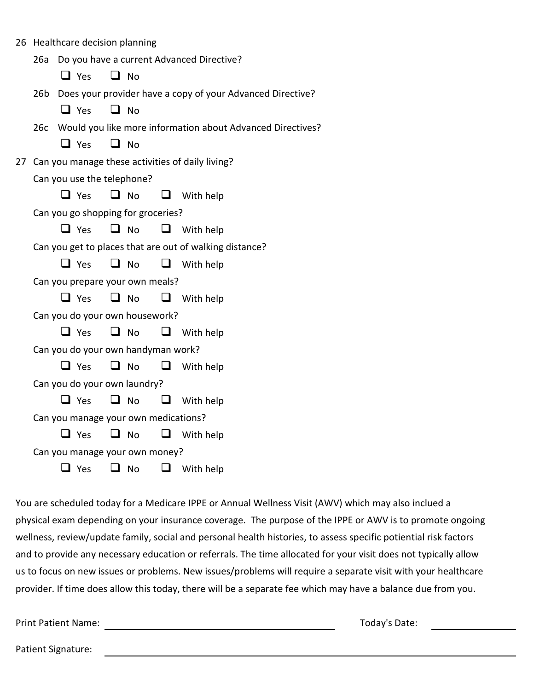|                                                                | 26 Healthcare decision planning           |           |        |                                                                |  |  |
|----------------------------------------------------------------|-------------------------------------------|-----------|--------|----------------------------------------------------------------|--|--|
| 26a                                                            | Do you have a current Advanced Directive? |           |        |                                                                |  |  |
|                                                                | $\Box$ Yes                                | $\Box$ No |        |                                                                |  |  |
| 26b Does your provider have a copy of your Advanced Directive? |                                           |           |        |                                                                |  |  |
|                                                                | $\Box$ Yes                                | $\Box$ No |        |                                                                |  |  |
|                                                                |                                           |           |        | 26c Would you like more information about Advanced Directives? |  |  |
|                                                                | $\Box$ Yes                                | $\Box$ No |        |                                                                |  |  |
|                                                                |                                           |           |        | 27 Can you manage these activities of daily living?            |  |  |
|                                                                | Can you use the telephone?                |           |        |                                                                |  |  |
|                                                                | $\Box$ Yes                                | $\Box$ No |        | $\Box$ With help                                               |  |  |
|                                                                | Can you go shopping for groceries?        |           |        |                                                                |  |  |
|                                                                | $\Box$ Yes                                | $\Box$ No | $\Box$ | With help                                                      |  |  |
|                                                                |                                           |           |        | Can you get to places that are out of walking distance?        |  |  |
|                                                                | $\Box$ Yes                                | $\Box$ No |        | $\Box$ With help                                               |  |  |
|                                                                | Can you prepare your own meals?           |           |        |                                                                |  |  |
|                                                                | $\Box$ Yes                                | $\Box$ No |        | $\Box$ With help                                               |  |  |
|                                                                | Can you do your own housework?            |           |        |                                                                |  |  |
|                                                                | $\Box$ Yes                                | $\Box$ No | $\Box$ | With help                                                      |  |  |
| Can you do your own handyman work?                             |                                           |           |        |                                                                |  |  |
|                                                                | $\Box$ Yes                                | $\Box$ No | ⊔      | With help                                                      |  |  |
| Can you do your own laundry?                                   |                                           |           |        |                                                                |  |  |
|                                                                | $\Box$ Yes                                | $\Box$ No | $\Box$ | With help                                                      |  |  |
|                                                                | Can you manage your own medications?      |           |        |                                                                |  |  |
|                                                                | $\Box$ Yes                                | $\Box$ No | $\Box$ | With help                                                      |  |  |
| Can you manage your own money?                                 |                                           |           |        |                                                                |  |  |
|                                                                | $\Box$ Yes                                | $\Box$ No | ⊔      | With help                                                      |  |  |
|                                                                |                                           |           |        |                                                                |  |  |

You are scheduled today for a Medicare IPPE or Annual Wellness Visit (AWV) which may also inclued a physical exam depending on your insurance coverage. The purpose of the IPPE or AWV is to promote ongoing wellness, review/update family, social and personal health histories, to assess specific potiential risk factors and to provide any necessary education or referrals. The time allocated for your visit does not typically allow us to focus on new issues or problems. New issues/problems will require a separate visit with your healthcare provider. If time does allow this today, there will be a separate fee which may have a balance due from you.

Print Patient Name: Today's Date:

Patient Signature: